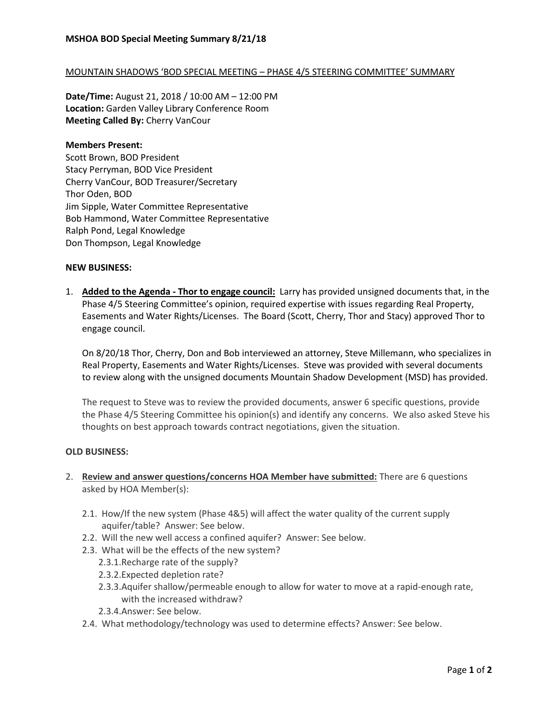## MOUNTAIN SHADOWS 'BOD SPECIAL MEETING – PHASE 4/5 STEERING COMMITTEE' SUMMARY

**Date/Time:** August 21, 2018 / 10:00 AM – 12:00 PM **Location:** Garden Valley Library Conference Room **Meeting Called By:** Cherry VanCour

## **Members Present:**

Scott Brown, BOD President Stacy Perryman, BOD Vice President Cherry VanCour, BOD Treasurer/Secretary Thor Oden, BOD Jim Sipple, Water Committee Representative Bob Hammond, Water Committee Representative Ralph Pond, Legal Knowledge Don Thompson, Legal Knowledge

## **NEW BUSINESS:**

1. **Added to the Agenda - Thor to engage council:** Larry has provided unsigned documents that, in the Phase 4/5 Steering Committee's opinion, required expertise with issues regarding Real Property, Easements and Water Rights/Licenses. The Board (Scott, Cherry, Thor and Stacy) approved Thor to engage council.

On 8/20/18 Thor, Cherry, Don and Bob interviewed an attorney, Steve Millemann, who specializes in Real Property, Easements and Water Rights/Licenses. Steve was provided with several documents to review along with the unsigned documents Mountain Shadow Development (MSD) has provided.

The request to Steve was to review the provided documents, answer 6 specific questions, provide the Phase 4/5 Steering Committee his opinion(s) and identify any concerns. We also asked Steve his thoughts on best approach towards contract negotiations, given the situation.

## **OLD BUSINESS:**

- 2. **Review and answer questions/concerns HOA Member have submitted:** There are 6 questions asked by HOA Member(s):
	- 2.1. How/If the new system (Phase 4&5) will affect the water quality of the current supply aquifer/table? Answer: See below.
	- 2.2. Will the new well access a confined aquifer? Answer: See below.
	- 2.3. What will be the effects of the new system?
		- 2.3.1.Recharge rate of the supply?
		- 2.3.2.Expected depletion rate?
		- 2.3.3.Aquifer shallow/permeable enough to allow for water to move at a rapid-enough rate, with the increased withdraw?
		- 2.3.4.Answer: See below.
	- 2.4. What methodology/technology was used to determine effects? Answer: See below.